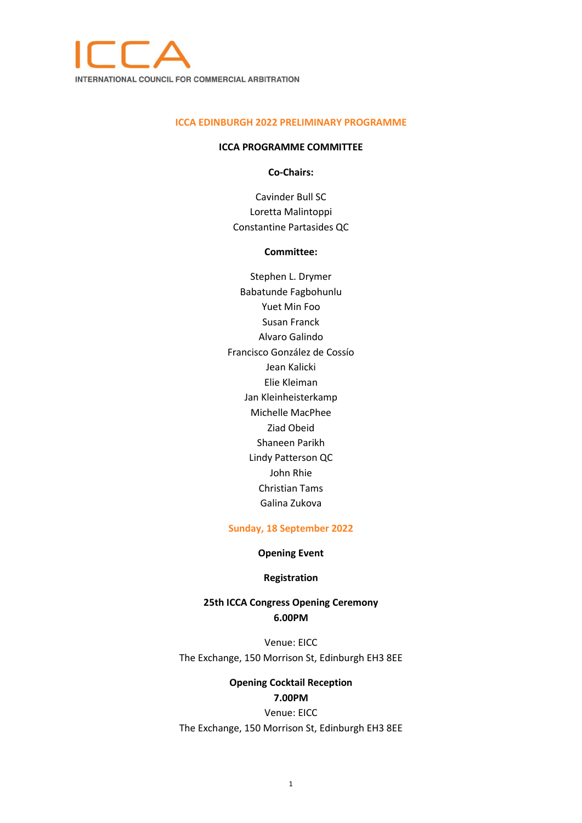

#### **ICCA EDINBURGH 2022 PRELIMINARY PROGRAMME**

#### **ICCA PROGRAMME COMMITTEE**

**Co-Chairs:**

Cavinder Bull SC Loretta Malintoppi Constantine Partasides QC

### **Committee:**

Stephen L. Drymer Babatunde Fagbohunlu Yuet Min Foo Susan Franck Alvaro Galindo Francisco González de Cossío Jean Kalicki Elie Kleiman Jan Kleinheisterkamp Michelle MacPhee Ziad Obeid Shaneen Parikh Lindy Patterson QC John Rhie Christian Tams Galina Zukova

### **Sunday, 18 September 2022**

## **Opening Event**

### **Registration**

## **25th ICCA Congress Opening Ceremony 6.00PM**

Venue: EICC The Exchange, 150 Morrison St, Edinburgh EH3 8EE

# **Opening Cocktail Reception**

### **7.00PM**

Venue: EICC The Exchange, 150 Morrison St, Edinburgh EH3 8EE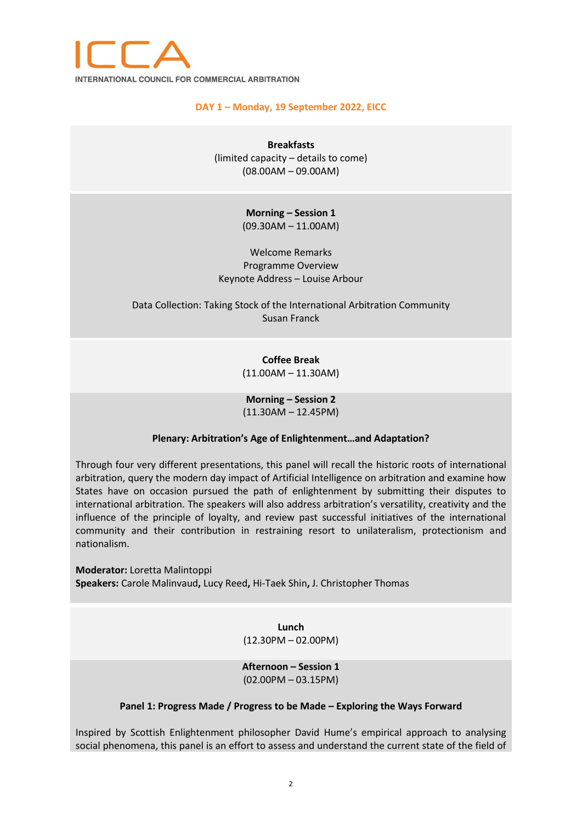

## **DAY 1 – Monday, 19 September 2022, EICC**

**Breakfasts** (limited capacity – details to come) (08.00AM – 09.00AM)

> **Morning – Session 1** (09.30AM – 11.00AM)

Welcome Remarks Programme Overview Keynote Address – Louise Arbour

Data Collection: Taking Stock of the International Arbitration Community Susan Franck

> **Coffee Break** (11.00AM – 11.30AM)

> **Morning – Session 2**  (11.30AM – 12.45PM)

### **Plenary: Arbitration's Age of Enlightenment…and Adaptation?**

Through four very different presentations, this panel will recall the historic roots of international arbitration, query the modern day impact of Artificial Intelligence on arbitration and examine how States have on occasion pursued the path of enlightenment by submitting their disputes to international arbitration. The speakers will also address arbitration's versatility, creativity and the influence of the principle of loyalty, and review past successful initiatives of the international community and their contribution in restraining resort to unilateralism, protectionism and nationalism.

**Moderator:** Loretta Malintoppi **Speakers:** Carole Malinvaud**,** Lucy Reed**,** Hi-Taek Shin**,** J. Christopher Thomas

> **Lunch** (12.30PM – 02.00PM)

**Afternoon – Session 1** (02.00PM – 03.15PM)

#### **Panel 1: Progress Made / Progress to be Made – Exploring the Ways Forward**

Inspired by Scottish Enlightenment philosopher David Hume's empirical approach to analysing social phenomena, this panel is an effort to assess and understand the current state of the field of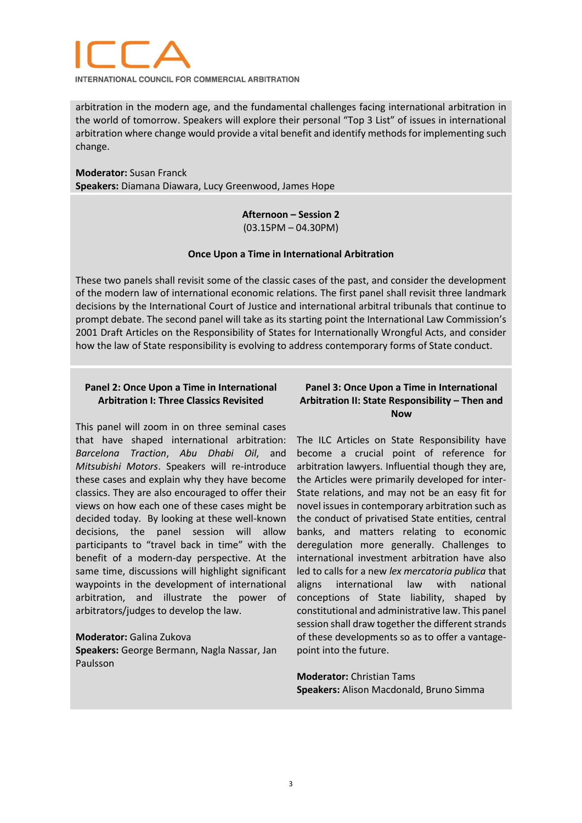

**INTERNATIONAL COUNCIL FOR COMMERCIAL ARBITRATION** 

arbitration in the modern age, and the fundamental challenges facing international arbitration in the world of tomorrow. Speakers will explore their personal "Top 3 List" of issues in international arbitration where change would provide a vital benefit and identify methods for implementing such change.

## **Moderator:** Susan Franck

**Speakers:** Diamana Diawara, Lucy Greenwood, James Hope

## **Afternoon – Session 2** (03.15PM – 04.30PM)

### **Once Upon a Time in International Arbitration**

These two panels shall revisit some of the classic cases of the past, and consider the development of the modern law of international economic relations. The first panel shall revisit three landmark decisions by the International Court of Justice and international arbitral tribunals that continue to prompt debate. The second panel will take as its starting point the International Law Commission's 2001 Draft Articles on the Responsibility of States for Internationally Wrongful Acts, and consider how the law of State responsibility is evolving to address contemporary forms of State conduct.

## **Panel 2: Once Upon a Time in International Arbitration I: Three Classics Revisited**

This panel will zoom in on three seminal cases that have shaped international arbitration: *Barcelona Traction*, *Abu Dhabi Oil*, and *Mitsubishi Motors*. Speakers will re-introduce these cases and explain why they have become classics. They are also encouraged to offer their views on how each one of these cases might be decided today. By looking at these well-known decisions, the panel session will allow participants to "travel back in time" with the benefit of a modern-day perspective. At the same time, discussions will highlight significant waypoints in the development of international arbitration, and illustrate the power of arbitrators/judges to develop the law.

## **Moderator:** Galina Zukova **Speakers:** George Bermann, Nagla Nassar, Jan Paulsson

## **Panel 3: Once Upon a Time in International Arbitration II: State Responsibility – Then and Now**

The ILC Articles on State Responsibility have become a crucial point of reference for arbitration lawyers. Influential though they are, the Articles were primarily developed for inter-State relations, and may not be an easy fit for novel issues in contemporary arbitration such as the conduct of privatised State entities, central banks, and matters relating to economic deregulation more generally. Challenges to international investment arbitration have also led to calls for a new *lex mercatoria publica* that aligns international law with national conceptions of State liability, shaped by constitutional and administrative law. This panel session shall draw together the different strands of these developments so as to offer a vantagepoint into the future.

## **Moderator:** Christian Tams **Speakers:** Alison Macdonald, Bruno Simma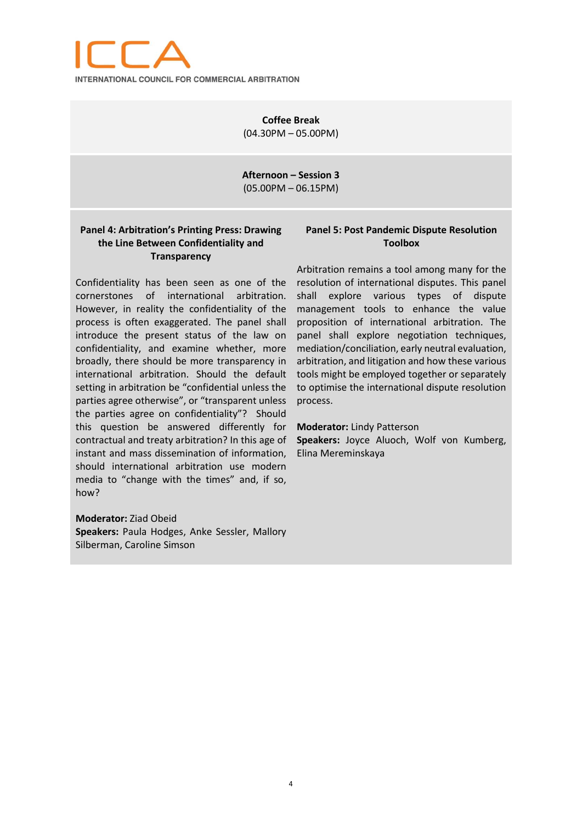

**Coffee Break** (04.30PM – 05.00PM)

**Afternoon – Session 3** (05.00PM – 06.15PM)

## **Panel 4: Arbitration's Printing Press: Drawing the Line Between Confidentiality and Transparency**

Confidentiality has been seen as one of the cornerstones of international arbitration. However, in reality the confidentiality of the process is often exaggerated. The panel shall introduce the present status of the law on confidentiality, and examine whether, more broadly, there should be more transparency in international arbitration. Should the default setting in arbitration be "confidential unless the parties agree otherwise", or "transparent unless the parties agree on confidentiality"? Should this question be answered differently for contractual and treaty arbitration? In this age of instant and mass dissemination of information, should international arbitration use modern media to "change with the times" and, if so, how?

**Moderator:** Ziad Obeid **Speakers:** Paula Hodges, Anke Sessler, Mallory Silberman, Caroline Simson

## **Panel 5: Post Pandemic Dispute Resolution Toolbox**

Arbitration remains a tool among many for the resolution of international disputes. This panel shall explore various types of dispute management tools to enhance the value proposition of international arbitration. The panel shall explore negotiation techniques, mediation/conciliation, early neutral evaluation, arbitration, and litigation and how these various tools might be employed together or separately to optimise the international dispute resolution process.

#### **Moderator:** Lindy Patterson

**Speakers:** Joyce Aluoch, Wolf von Kumberg, Elina Mereminskaya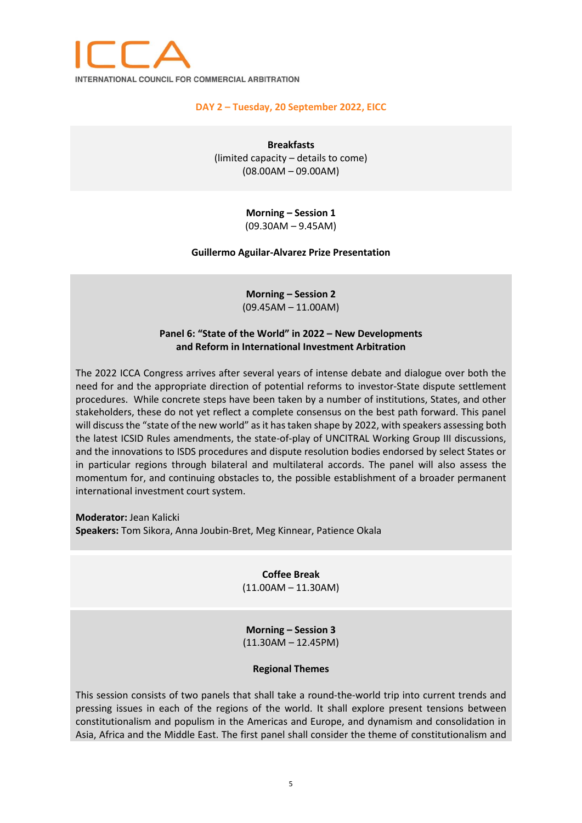

## **DAY 2 – Tuesday, 20 September 2022, EICC**

**Breakfasts** (limited capacity – details to come) (08.00AM – 09.00AM)

## **Morning – Session 1** (09.30AM – 9.45AM)

### **Guillermo Aguilar-Alvarez Prize Presentation**

**Morning – Session 2** (09.45AM – 11.00AM)

## **Panel 6: "State of the World" in 2022 – New Developments and Reform in International Investment Arbitration**

The 2022 ICCA Congress arrives after several years of intense debate and dialogue over both the need for and the appropriate direction of potential reforms to investor-State dispute settlement procedures. While concrete steps have been taken by a number of institutions, States, and other stakeholders, these do not yet reflect a complete consensus on the best path forward. This panel will discuss the "state of the new world" as it has taken shape by 2022, with speakers assessing both the latest ICSID Rules amendments, the state-of-play of UNCITRAL Working Group III discussions, and the innovations to ISDS procedures and dispute resolution bodies endorsed by select States or in particular regions through bilateral and multilateral accords. The panel will also assess the momentum for, and continuing obstacles to, the possible establishment of a broader permanent international investment court system.

**Moderator:** Jean Kalicki **Speakers:** Tom Sikora, Anna Joubin-Bret, Meg Kinnear, Patience Okala

> **Coffee Break** (11.00AM – 11.30AM)

> **Morning – Session 3** (11.30AM – 12.45PM)

### **Regional Themes**

This session consists of two panels that shall take a round-the-world trip into current trends and pressing issues in each of the regions of the world. It shall explore present tensions between constitutionalism and populism in the Americas and Europe, and dynamism and consolidation in Asia, Africa and the Middle East. The first panel shall consider the theme of constitutionalism and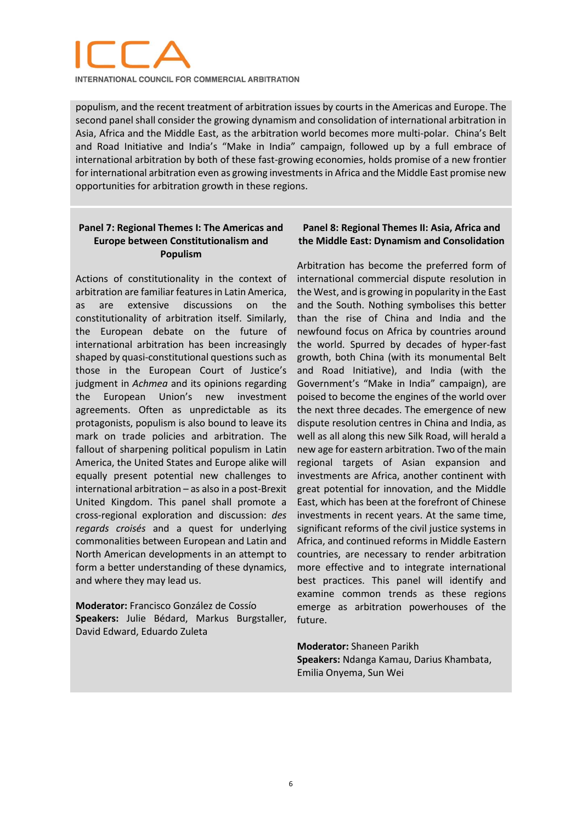

**INTERNATIONAL COUNCIL FOR COMMERCIAL ARBITRATION** 

populism, and the recent treatment of arbitration issues by courts in the Americas and Europe. The second panel shall consider the growing dynamism and consolidation of international arbitration in Asia, Africa and the Middle East, as the arbitration world becomes more multi-polar. China's Belt and Road Initiative and India's "Make in India" campaign, followed up by a full embrace of international arbitration by both of these fast-growing economies, holds promise of a new frontier for international arbitration even as growing investments in Africa and the Middle East promise new opportunities for arbitration growth in these regions.

## **Panel 7: Regional Themes I: The Americas and Europe between Constitutionalism and Populism**

Actions of constitutionality in the context of arbitration are familiar features in Latin America, as are extensive discussions on the constitutionality of arbitration itself. Similarly, the European debate on the future of international arbitration has been increasingly shaped by quasi-constitutional questions such as those in the European Court of Justice's judgment in *Achmea* and its opinions regarding the European Union's new investment agreements. Often as unpredictable as its protagonists, populism is also bound to leave its mark on trade policies and arbitration. The fallout of sharpening political populism in Latin America, the United States and Europe alike will equally present potential new challenges to international arbitration – as also in a post-Brexit United Kingdom. This panel shall promote a cross-regional exploration and discussion: *des regards croisés* and a quest for underlying commonalities between European and Latin and North American developments in an attempt to form a better understanding of these dynamics, and where they may lead us.

**Moderator:** Francisco González de Cossío **Speakers:** Julie Bédard, Markus Burgstaller, David Edward, Eduardo Zuleta

## **Panel 8: Regional Themes II: Asia, Africa and the Middle East: Dynamism and Consolidation**

Arbitration has become the preferred form of international commercial dispute resolution in the West, and is growing in popularity in the East and the South. Nothing symbolises this better than the rise of China and India and the newfound focus on Africa by countries around the world. Spurred by decades of hyper-fast growth, both China (with its monumental Belt and Road Initiative), and India (with the Government's "Make in India" campaign), are poised to become the engines of the world over the next three decades. The emergence of new dispute resolution centres in China and India, as well as all along this new Silk Road, will herald a new age for eastern arbitration. Two of the main regional targets of Asian expansion and investments are Africa, another continent with great potential for innovation, and the Middle East, which has been at the forefront of Chinese investments in recent years. At the same time, significant reforms of the civil justice systems in Africa, and continued reforms in Middle Eastern countries, are necessary to render arbitration more effective and to integrate international best practices. This panel will identify and examine common trends as these regions emerge as arbitration powerhouses of the future.

**Moderator:** Shaneen Parikh **Speakers:** Ndanga Kamau, Darius Khambata, Emilia Onyema, Sun Wei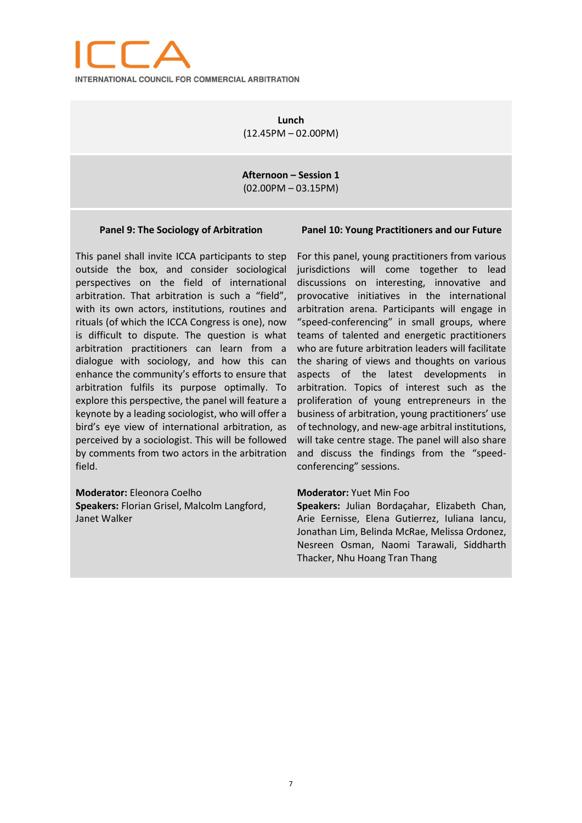

**Lunch** (12.45PM – 02.00PM)

**Afternoon – Session 1** (02.00PM – 03.15PM)

#### **Panel 9: The Sociology of Arbitration**

This panel shall invite ICCA participants to step outside the box, and consider sociological perspectives on the field of international arbitration. That arbitration is such a "field", with its own actors, institutions, routines and rituals (of which the ICCA Congress is one), now is difficult to dispute. The question is what arbitration practitioners can learn from a dialogue with sociology, and how this can enhance the community's efforts to ensure that arbitration fulfils its purpose optimally. To explore this perspective, the panel will feature a keynote by a leading sociologist, who will offer a bird's eye view of international arbitration, as perceived by a sociologist. This will be followed by comments from two actors in the arbitration field.

**Moderator:** Eleonora Coelho **Speakers:** Florian Grisel, Malcolm Langford, Janet Walker

#### **Panel 10: Young Practitioners and our Future**

For this panel, young practitioners from various jurisdictions will come together to lead discussions on interesting, innovative and provocative initiatives in the international arbitration arena. Participants will engage in "speed-conferencing" in small groups, where teams of talented and energetic practitioners who are future arbitration leaders will facilitate the sharing of views and thoughts on various aspects of the latest developments in arbitration. Topics of interest such as the proliferation of young entrepreneurs in the business of arbitration, young practitioners' use of technology, and new-age arbitral institutions, will take centre stage. The panel will also share and discuss the findings from the "speedconferencing" sessions.

#### **Moderator:** Yuet Min Foo

**Speakers:** Julian Bordaçahar, Elizabeth Chan, Arie Eernisse, Elena Gutierrez, Iuliana Iancu, Jonathan Lim, Belinda McRae, Melissa Ordonez, Nesreen Osman, Naomi Tarawali, Siddharth Thacker, Nhu Hoang Tran Thang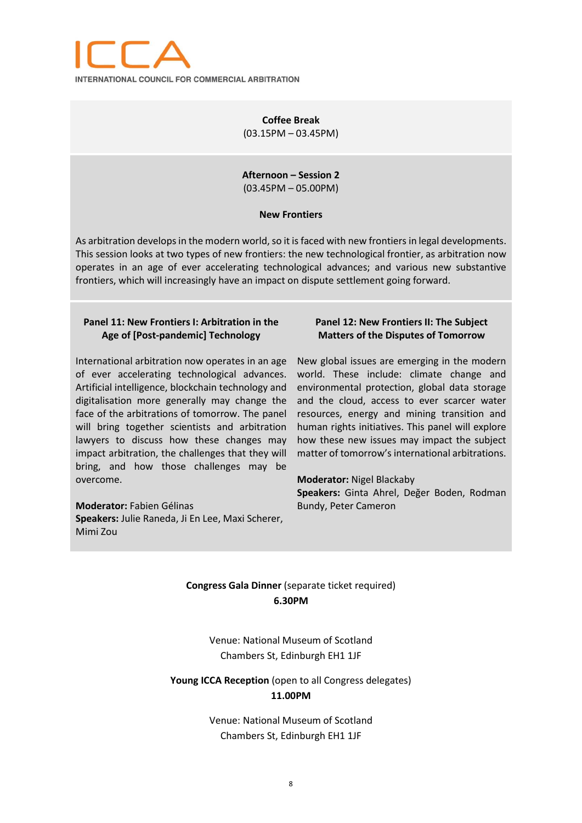

**Coffee Break** (03.15PM – 03.45PM)

**Afternoon – Session 2** (03.45PM – 05.00PM)

#### **New Frontiers**

As arbitration develops in the modern world, so it is faced with new frontiers in legal developments. This session looks at two types of new frontiers: the new technological frontier, as arbitration now operates in an age of ever accelerating technological advances; and various new substantive frontiers, which will increasingly have an impact on dispute settlement going forward.

## **Panel 11: New Frontiers I: Arbitration in the Age of [Post-pandemic] Technology**

International arbitration now operates in an age of ever accelerating technological advances. Artificial intelligence, blockchain technology and digitalisation more generally may change the face of the arbitrations of tomorrow. The panel will bring together scientists and arbitration lawyers to discuss how these changes may impact arbitration, the challenges that they will bring, and how those challenges may be overcome.

**Moderator:** Fabien Gélinas **Speakers:** Julie Raneda, Ji En Lee, Maxi Scherer, Mimi Zou

### **Panel 12: New Frontiers II: The Subject Matters of the Disputes of Tomorrow**

New global issues are emerging in the modern world. These include: climate change and environmental protection, global data storage and the cloud, access to ever scarcer water resources, energy and mining transition and human rights initiatives. This panel will explore how these new issues may impact the subject matter of tomorrow's international arbitrations.

**Moderator:** Nigel Blackaby **Speakers:** Ginta Ahrel, Değer Boden, Rodman Bundy, Peter Cameron

## **Congress Gala Dinner** (separate ticket required) **6.30PM**

Venue: National Museum of Scotland Chambers St, Edinburgh EH1 1JF

**Young ICCA Reception** (open to all Congress delegates) **11.00PM**

> Venue: National Museum of Scotland Chambers St, Edinburgh EH1 1JF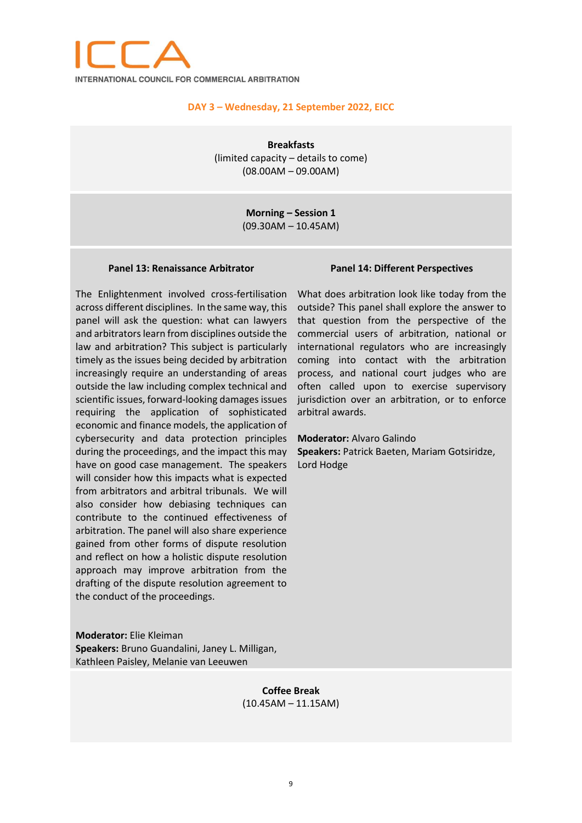

### **DAY 3 – Wednesday, 21 September 2022, EICC**

**Breakfasts** (limited capacity – details to come) (08.00AM – 09.00AM)

> **Morning – Session 1** (09.30AM – 10.45AM)

#### **Panel 13: Renaissance Arbitrator**

The Enlightenment involved cross-fertilisation across different disciplines. In the same way, this panel will ask the question: what can lawyers and arbitrators learn from disciplines outside the law and arbitration? This subject is particularly timely as the issues being decided by arbitration increasingly require an understanding of areas outside the law including complex technical and scientific issues, forward-looking damages issues requiring the application of sophisticated economic and finance models, the application of cybersecurity and data protection principles during the proceedings, and the impact this may have on good case management. The speakers will consider how this impacts what is expected from arbitrators and arbitral tribunals. We will also consider how debiasing techniques can contribute to the continued effectiveness of arbitration. The panel will also share experience gained from other forms of dispute resolution and reflect on how a holistic dispute resolution approach may improve arbitration from the drafting of the dispute resolution agreement to the conduct of the proceedings.

### **Panel 14: Different Perspectives**

What does arbitration look like today from the outside? This panel shall explore the answer to that question from the perspective of the commercial users of arbitration, national or international regulators who are increasingly coming into contact with the arbitration process, and national court judges who are often called upon to exercise supervisory jurisdiction over an arbitration, or to enforce arbitral awards.

#### **Moderator:** Alvaro Galindo

**Speakers:** Patrick Baeten, Mariam Gotsiridze, Lord Hodge

**Moderator:** Elie Kleiman **Speakers:** Bruno Guandalini, Janey L. Milligan, Kathleen Paisley, Melanie van Leeuwen

> **Coffee Break** (10.45AM – 11.15AM)